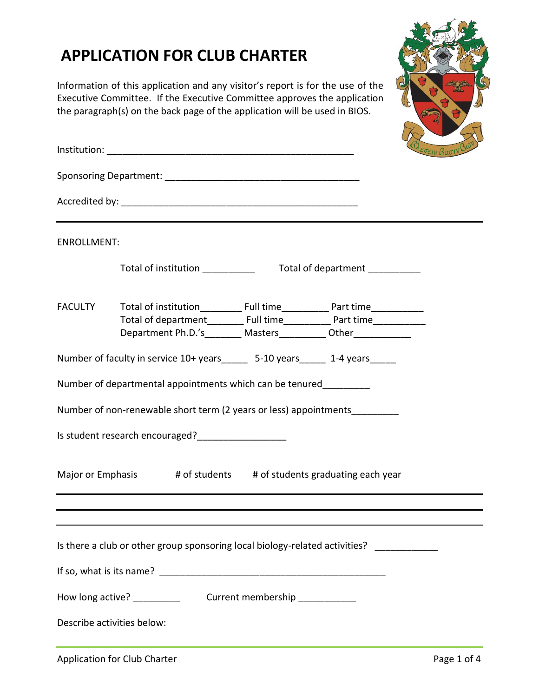## **APPLICATION FOR CLUB CHARTER**

Information of this application and any visitor's report is for the use of the Executive Committee. If the Executive Committee approves the application the paragraph(s) on the back page of the application will be used in BIOS.



|                                                                       |                                                                                                                                                       | <i><b>SAETTEIV BAOWBIOU</b></i> |                                 |  |  |
|-----------------------------------------------------------------------|-------------------------------------------------------------------------------------------------------------------------------------------------------|---------------------------------|---------------------------------|--|--|
|                                                                       |                                                                                                                                                       |                                 |                                 |  |  |
|                                                                       |                                                                                                                                                       |                                 |                                 |  |  |
| <b>ENROLLMENT:</b>                                                    |                                                                                                                                                       |                                 |                                 |  |  |
|                                                                       | Total of institution                                                                                                                                  |                                 | Total of department ___________ |  |  |
| <b>FACULTY</b>                                                        | Total of department___________ Full time______________ Part time________________<br>Department Ph.D.'s________ Masters___________ Other______________ |                                 |                                 |  |  |
|                                                                       | Number of faculty in service 10+ years______ 5-10 years______ 1-4 years_____                                                                          |                                 |                                 |  |  |
|                                                                       | Number of departmental appointments which can be tenured                                                                                              |                                 |                                 |  |  |
|                                                                       | Number of non-renewable short term (2 years or less) appointments                                                                                     |                                 |                                 |  |  |
|                                                                       |                                                                                                                                                       |                                 |                                 |  |  |
| # of students # of students graduating each year<br>Major or Emphasis |                                                                                                                                                       |                                 |                                 |  |  |
|                                                                       |                                                                                                                                                       |                                 |                                 |  |  |
|                                                                       | Is there a club or other group sponsoring local biology-related activities? ___________                                                               |                                 |                                 |  |  |
|                                                                       |                                                                                                                                                       |                                 |                                 |  |  |
| How long active? __________<br>Current membership ___________         |                                                                                                                                                       |                                 |                                 |  |  |
|                                                                       | Describe activities below:                                                                                                                            |                                 |                                 |  |  |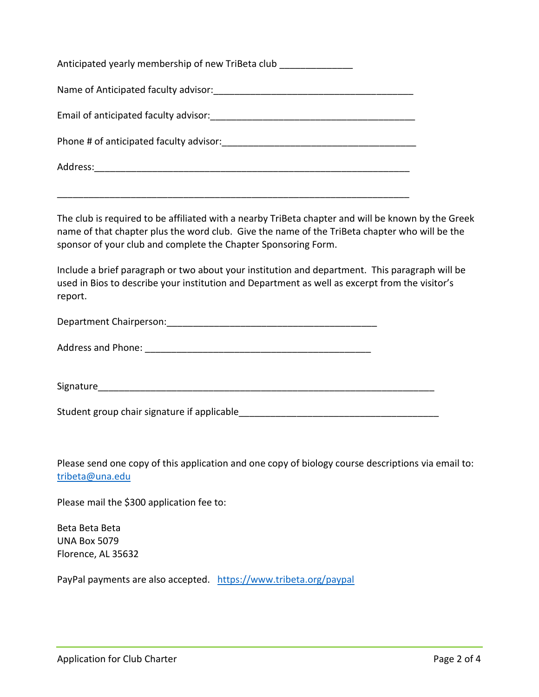| Anticipated yearly membership of new TriBeta club |
|---------------------------------------------------|
| Name of Anticipated faculty advisor:              |
| Email of anticipated faculty advisor:             |
| Phone # of anticipated faculty advisor:           |
| Address:                                          |

\_\_\_\_\_\_\_\_\_\_\_\_\_\_\_\_\_\_\_\_\_\_\_\_\_\_\_\_\_\_\_\_\_\_\_\_\_\_\_\_\_\_\_\_\_\_\_\_\_\_\_\_\_\_\_\_\_\_\_\_\_\_\_\_\_\_\_

The club is required to be affiliated with a nearby TriBeta chapter and will be known by the Greek name of that chapter plus the word club. Give the name of the TriBeta chapter who will be the sponsor of your club and complete the Chapter Sponsoring Form.

Include a brief paragraph or two about your institution and department. This paragraph will be used in Bios to describe your institution and Department as well as excerpt from the visitor's report.

Department Chairperson:\_\_\_\_\_\_\_\_\_\_\_\_\_\_\_\_\_\_\_\_\_\_\_\_\_\_\_\_\_\_\_\_\_\_\_\_\_\_\_\_

Address and Phone: \_\_\_\_\_\_\_\_\_\_\_\_\_\_\_\_\_\_\_\_\_\_\_\_\_\_\_\_\_\_\_\_\_\_\_\_\_\_\_\_\_\_\_

Signature\_\_\_\_\_\_\_\_\_\_\_\_\_\_\_\_\_\_\_\_\_\_\_\_\_\_\_\_\_\_\_\_\_\_\_\_\_\_\_\_\_\_\_\_\_\_\_\_\_\_\_\_\_\_\_\_\_\_\_\_\_\_\_\_

Student group chair signature if applicable

Please send one copy of this application and one copy of biology course descriptions via email to: [tribeta@una.edu](mailto:tribeta@una.edu)

Please mail the \$300 application fee to:

Beta Beta Beta UNA Box 5079 Florence, AL 35632

PayPal payments are also accepted. <https://www.tribeta.org/paypal>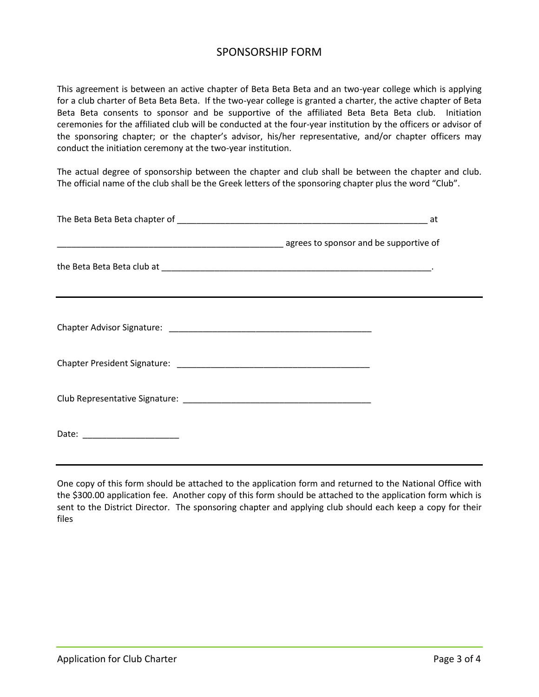## SPONSORSHIP FORM

This agreement is between an active chapter of Beta Beta Beta and an two-year college which is applying for a club charter of Beta Beta Beta. If the two-year college is granted a charter, the active chapter of Beta Beta Beta consents to sponsor and be supportive of the affiliated Beta Beta Beta club. Initiation ceremonies for the affiliated club will be conducted at the four-year institution by the officers or advisor of the sponsoring chapter; or the chapter's advisor, his/her representative, and/or chapter officers may conduct the initiation ceremony at the two-year institution.

The actual degree of sponsorship between the chapter and club shall be between the chapter and club. The official name of the club shall be the Greek letters of the sponsoring chapter plus the word "Club".

|                                | denotes to sponsor and be supportive of |
|--------------------------------|-----------------------------------------|
|                                |                                         |
|                                |                                         |
|                                |                                         |
|                                |                                         |
|                                |                                         |
| Date: ________________________ |                                         |
|                                |                                         |

One copy of this form should be attached to the application form and returned to the National Office with the \$300.00 application fee. Another copy of this form should be attached to the application form which is sent to the District Director. The sponsoring chapter and applying club should each keep a copy for their files